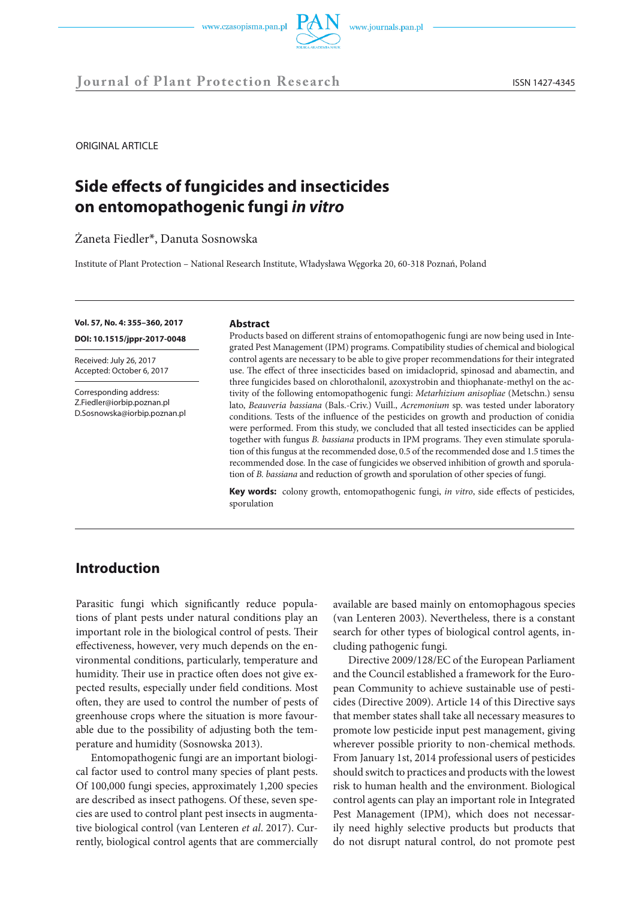

ORIGINAL ARTICLE

# **Side effects of fungicides and insecticides on entomopathogenic fungi** *in vitro*

Żaneta Fiedler\*, Danuta Sosnowska

Institute of Plant Protection – National Research Institute, Władysława Węgorka 20, 60-318 Poznań, Poland

**Vol. 57, No. 4: 355–360, 2017 DOI: 10.1515/jppr-2017-0048**

Received: July 26, 2017 Accepted: October 6, 2017

Corresponding address: Z.Fiedler@iorbip.poznan.pl D.Sosnowska@iorbip.poznan.pl

#### **Abstract**

Products based on different strains of entomopathogenic fungi are now being used in Integrated Pest Management (IPM) programs. Compatibility studies of chemical and biological control agents are necessary to be able to give proper recommendations for their integrated use. The effect of three insecticides based on imidacloprid, spinosad and abamectin, and three fungicides based on chlorothalonil, azoxystrobin and thiophanate-methyl on the activity of the following entomopathogenic fungi: *Metarhizium anisopliae* (Metschn.) sensu lato, *Beauveria bassiana* (Bals.-Criv.) Vuill., *Acremonium* sp. was tested under laboratory conditions. Tests of the influence of the pesticides on growth and production of conidia were performed. From this study, we concluded that all tested insecticides can be applied together with fungus *B. bassiana* products in IPM programs. They even stimulate sporulation of this fungus at the recommended dose, 0.5 of the recommended dose and 1.5 times the recommended dose. In the case of fungicides we observed inhibition of growth and sporulation of *B. bassiana* and reduction of growth and sporulation of other species of fungi.

**Key words:** colony growth, entomopathogenic fungi, *in vitro*, side effects of pesticides, sporulation

# **Introduction**

Parasitic fungi which significantly reduce populations of plant pests under natural conditions play an important role in the biological control of pests. Their effectiveness, however, very much depends on the environmental conditions, particularly, temperature and humidity. Their use in practice often does not give expected results, especially under field conditions. Most often, they are used to control the number of pests of greenhouse crops where the situation is more favourable due to the possibility of adjusting both the temperature and humidity (Sosnowska 2013).

Entomopathogenic fungi are an important biological factor used to control many species of plant pests. Of 100,000 fungi species, approximately 1,200 species are described as insect pathogens. Of these, seven species are used to control plant pest insects in augmentative biological control (van Lenteren *et al*. 2017). Currently, biological control agents that are commercially available are based mainly on entomophagous species (van Lenteren 2003). Nevertheless, there is a constant search for other types of biological control agents, including pathogenic fungi.

Directive 2009/128/EC of the European Parliament and the Council established a framework for the European Community to achieve sustainable use of pesticides (Directive 2009). Article 14 of this Directive says that member states shall take all necessary measures to promote low pesticide input pest management, giving wherever possible priority to non-chemical methods. From January 1st, 2014 professional users of pesticides should switch to practices and products with the lowest risk to human health and the environment. Biological control agents can play an important role in Integrated Pest Management (IPM), which does not necessarily need highly selective products but products that do not disrupt natural control, do not promote pest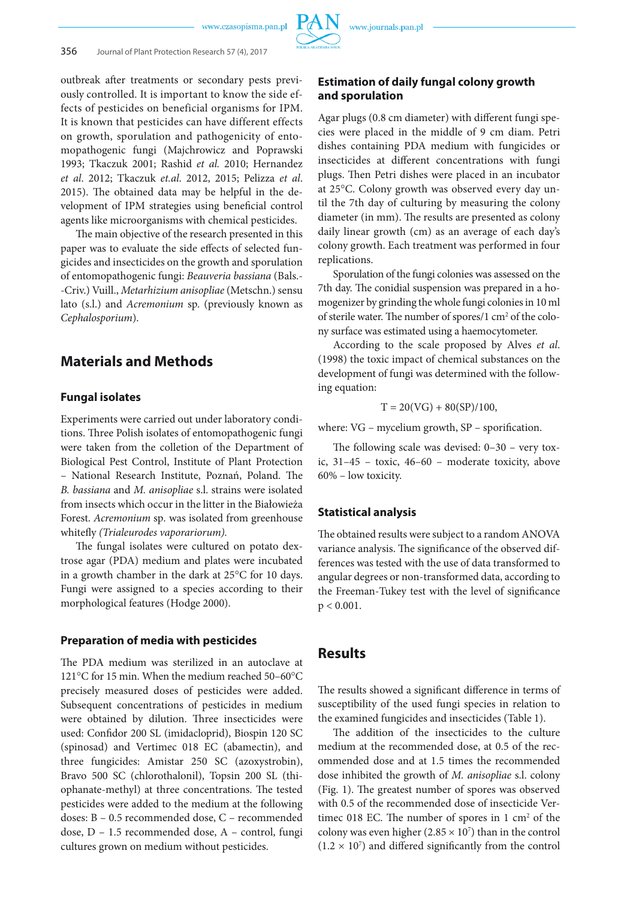outbreak after treatments or secondary pests previously controlled. It is important to know the side effects of pesticides on beneficial organisms for IPM. It is known that pesticides can have different effects on growth, sporulation and pathogenicity of entomopathogenic fungi (Majchrowicz and Poprawski 1993; Tkaczuk 2001; Rashid *et al.* 2010; Hernandez *et al*. 2012; Tkaczuk *et.al*. 2012, 2015; Pelizza *et al*. 2015). The obtained data may be helpful in the development of IPM strategies using beneficial control agents like microorganisms with chemical pesticides.

The main objective of the research presented in this paper was to evaluate the side effects of selected fungicides and insecticides on the growth and sporulation of entomopathogenic fungi: *Beauveria bassiana* (Bals.- -Criv.) Vuill., *Metarhizium anisopliae* (Metschn.) sensu lato (s.l.) and *Acremonium* sp. (previously known as *Cephalosporium*).

## **Materials and Methods**

## **Fungal isolates**

Experiments were carried out under laboratory conditions. Three Polish isolates of entomopathogenic fungi were taken from the colletion of the Department of Biological Pest Control, Institute of Plant Protection – National Research Institute, Poznań, Poland. The *B. bassiana* and *M. anisopliae* s.l. strains were isolated from insects which occur in the litter in the Białowieża Forest. *Acremonium* sp*.* was isolated from greenhouse whitefly *(Trialeurodes vaporariorum).*

The fungal isolates were cultured on potato dextrose agar (PDA) medium and plates were incubated in a growth chamber in the dark at 25°C for 10 days. Fungi were assigned to a species according to their morphological features (Hodge 2000).

#### **Preparation of media with pesticides**

The PDA medium was sterilized in an autoclave at 121°C for 15 min. When the medium reached 50–60°C precisely measured doses of pesticides were added. Subsequent concentrations of pesticides in medium were obtained by dilution. Three insecticides were used: Confidor 200 SL (imidacloprid), Biospin 120 SC (spinosad) and Vertimec 018 EC (abamectin), and three fungicides: Amistar 250 SC (azoxystrobin), Bravo 500 SC (chlorothalonil), Topsin 200 SL (thiophanate-methyl) at three concentrations. The tested pesticides were added to the medium at the following doses: B – 0.5 recommended dose, C – recommended dose, D – 1.5 recommended dose, A – control, fungi cultures grown on medium without pesticides.

## **Estimation of daily fungal colony growth and sporulation**

Agar plugs (0.8 cm diameter) with different fungi species were placed in the middle of 9 cm diam. Petri dishes containing PDA medium with fungicides or insecticides at different concentrations with fungi plugs. Then Petri dishes were placed in an incubator at 25°C. Colony growth was observed every day until the 7th day of culturing by measuring the colony diameter (in mm). The results are presented as colony daily linear growth (cm) as an average of each day's colony growth. Each treatment was performed in four replications.

Sporulation of the fungi colonies was assessed on the 7th day. The conidial suspension was prepared in a homogenizer by grinding the whole fungi colonies in 10 ml of sterile water. The number of spores/1 cm<sup>2</sup> of the colony surface was estimated using a haemocytometer.

According to the scale proposed by Alves *et al*. (1998) the toxic impact of chemical substances on the development of fungi was determined with the following equation:

$$
T = 20(VG) + 80(SP)/100,
$$

where: VG – mycelium growth, SP – sporification.

The following scale was devised: 0–30 – very toxic, 31–45 – toxic, 46–60 – moderate toxicity, above 60% – low toxicity.

## **Statistical analysis**

The obtained results were subject to a random ANOVA variance analysis. The significance of the observed differences was tested with the use of data transformed to angular degrees or non-transformed data, according to the Freeman-Tukey test with the level of significance  $p < 0.001$ .

## **Results**

The results showed a significant difference in terms of susceptibility of the used fungi species in relation to the examined fungicides and insecticides (Table 1).

The addition of the insecticides to the culture medium at the recommended dose, at 0.5 of the recommended dose and at 1.5 times the recommended dose inhibited the growth of *M. anisopliae* s.l. colony (Fig. 1). The greatest number of spores was observed with 0.5 of the recommended dose of insecticide Vertimec 018 EC. The number of spores in  $1 \text{ cm}^2$  of the colony was even higher  $(2.85 \times 10^7)$  than in the control  $(1.2 \times 10^7)$  and differed significantly from the control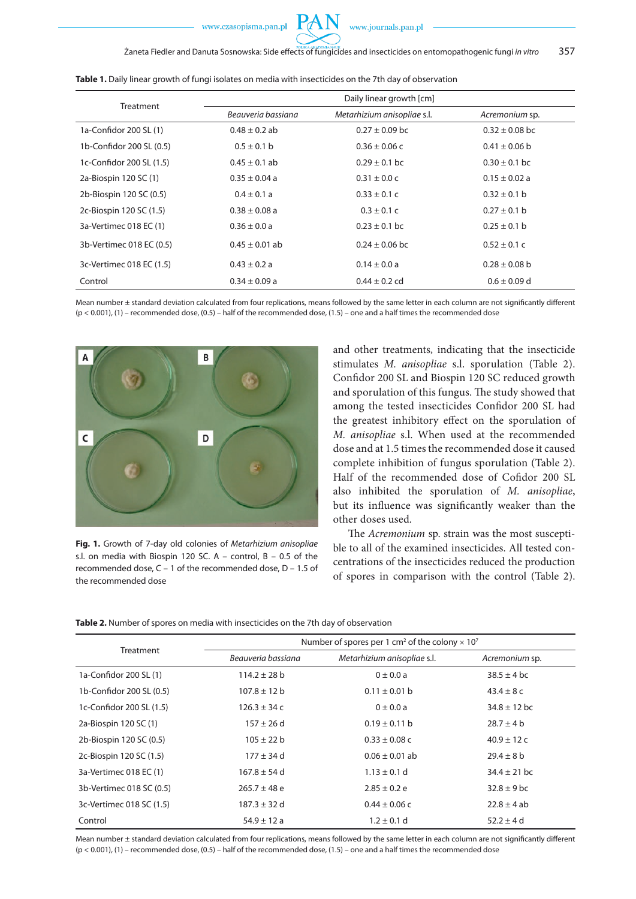| Treatment                | Daily linear growth [cm] |                             |                    |
|--------------------------|--------------------------|-----------------------------|--------------------|
|                          | Beauveria bassiana       | Metarhizium anisopliae s.l. | Acremonium sp.     |
| 1a-Confidor 200 SL (1)   | $0.48 \pm 0.2$ ab        | $0.27 \pm 0.09$ bc          | $0.32 \pm 0.08$ bc |
| 1b-Confidor 200 SL (0.5) | $0.5 \pm 0.1$ b          | $0.36 \pm 0.06$ c           | $0.41 \pm 0.06$ b  |
| 1c-Confidor 200 SL (1.5) | $0.45 \pm 0.1$ ab        | $0.29 \pm 0.1$ bc           | $0.30 \pm 0.1$ bc  |
| 2a-Biospin 120 SC (1)    | $0.35 \pm 0.04$ a        | $0.31 \pm 0.0$ c            | $0.15 \pm 0.02$ a  |
| 2b-Biospin 120 SC (0.5)  | $0.4 \pm 0.1 a$          | $0.33 \pm 0.1 c$            | $0.32 \pm 0.1$ b   |
| 2c-Biospin 120 SC (1.5)  | $0.38 \pm 0.08$ a        | $0.3 \pm 0.1 c$             | $0.27 \pm 0.1$ b   |
| 3a-Vertimec 018 EC (1)   | $0.36 \pm 0.0 a$         | $0.23 \pm 0.1$ bc           | $0.25 \pm 0.1$ b   |
| 3b-Vertimec 018 EC (0.5) | $0.45 \pm 0.01$ ab       | $0.24 \pm 0.06$ bc          | $0.52 \pm 0.1$ C   |
| 3c-Vertimec 018 EC (1.5) | $0.43 \pm 0.2 a$         | $0.14 \pm 0.0 a$            | $0.28 \pm 0.08$ b  |
| Control                  | $0.34 \pm 0.09$ a        | $0.44 \pm 0.2$ cd           | $0.6 \pm 0.09$ d   |

Table 1. Daily linear growth of fungi isolates on media with insecticides on the 7th day of observation

Mean number ± standard deviation calculated from four replications, means followed by the same letter in each column are not significantly different (p < 0.001), (1) – recommended dose, (0.5) – half of the recommended dose, (1.5) – one and a half times the recommended dose



**Fig. 1.** Growth of 7-day old colonies of *Metarhizium anisopliae* s.l. on media with Biospin 120 SC. A – control, B – 0.5 of the recommended dose, C – 1 of the recommended dose, D – 1.5 of the recommended dose

and other treatments, indicating that the insecticide stimulates *M. anisopliae* s.l. sporulation (Table 2). Confidor 200 SL and Biospin 120 SC reduced growth and sporulation of this fungus. The study showed that among the tested insecticides Confidor 200 SL had the greatest inhibitory effect on the sporulation of *M. anisopliae* s.l. When used at the recommended dose and at 1.5 times the recommended dose it caused complete inhibition of fungus sporulation (Table 2). Half of the recommended dose of Cofidor 200 SL also inhibited the sporulation of *M. anisopliae*, but its influence was significantly weaker than the other doses used.

The *Acremonium* sp. strain was the most susceptible to all of the examined insecticides. All tested concentrations of the insecticides reduced the production of spores in comparison with the control (Table 2).

**Table 2.** Number of spores on media with insecticides on the 7th day of observation

| Treatment                | Number of spores per 1 cm <sup>2</sup> of the colony $\times$ 10 <sup>7</sup> |                             |                  |  |
|--------------------------|-------------------------------------------------------------------------------|-----------------------------|------------------|--|
|                          | Beauveria bassiana                                                            | Metarhizium anisopliae s.l. | Acremonium sp.   |  |
| 1a-Confidor 200 SL (1)   | $114.2 \pm 28$ b                                                              | $0 \pm 0.0 a$               | $38.5 \pm 4$ bc  |  |
| 1b-Confidor 200 SL (0.5) | $107.8 \pm 12$ b                                                              | $0.11 \pm 0.01$ b           | $43.4 \pm 8c$    |  |
| 1c-Confidor 200 SL (1.5) | $126.3 \pm 34c$                                                               | $0 \pm 0.0 a$               | $34.8 \pm 12$ bc |  |
| 2a-Biospin 120 SC (1)    | $157 \pm 26$ d                                                                | $0.19 \pm 0.11$ b           | $28.7 \pm 4$ b   |  |
| 2b-Biospin 120 SC (0.5)  | $105 \pm 22 b$                                                                | $0.33 \pm 0.08$ C           | $40.9 \pm 12c$   |  |
| 2c-Biospin 120 SC (1.5)  | $177 \pm 34$ d                                                                | $0.06 \pm 0.01$ ab          | $29.4 \pm 8$ b   |  |
| 3a-Vertimec 018 EC (1)   | $167.8 \pm 54$ d                                                              | $1.13 \pm 0.1$ d            | $34.4 \pm 21$ bc |  |
| 3b-Vertimec 018 SC (0.5) | $265.7 \pm 48$ e                                                              | $2.85 \pm 0.2$ e            | $32.8 \pm 9$ bc  |  |
| 3c-Vertimec 018 SC (1.5) | $187.3 \pm 32$ d                                                              | $0.44 \pm 0.06$ c           | $22.8 \pm 4$ ab  |  |
| Control                  | $54.9 \pm 12 a$                                                               | $1.2 \pm 0.1$ d             | $52.2 \pm 4$ d   |  |

Mean number ± standard deviation calculated from four replications, means followed by the same letter in each column are not significantly different (p < 0.001), (1) – recommended dose, (0.5) – half of the recommended dose, (1.5) – one and a half times the recommended dose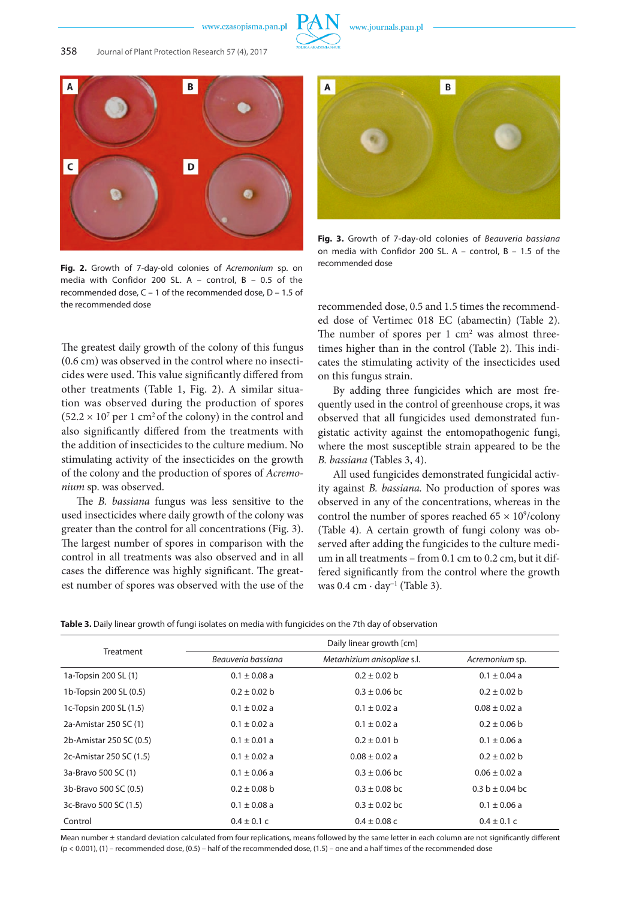

**Fig. 2.** Growth of 7-day-old colonies of *Acremonium* sp. on media with Confidor 200 SL. A – control, B – 0.5 of the recommended dose, C – 1 of the recommended dose, D – 1.5 of the recommended dose

The greatest daily growth of the colony of this fungus (0.6 cm) was observed in the control where no insecticides were used. This value significantly differed from other treatments (Table 1, Fig. 2). A similar situation was observed during the production of spores  $(52.2 \times 10^7 \text{ per } 1 \text{ cm}^2 \text{ of the colony})$  in the control and also significantly differed from the treatments with the addition of insecticides to the culture medium. No stimulating activity of the insecticides on the growth of the colony and the production of spores of *Acremonium* sp. was observed.

The *B. bassiana* fungus was less sensitive to the used insecticides where daily growth of the colony was greater than the control for all concentrations (Fig. 3). The largest number of spores in comparison with the control in all treatments was also observed and in all cases the difference was highly significant. The greatest number of spores was observed with the use of the



**Fig. 3.** Growth of 7-day-old colonies of *Beauveria bassiana* on media with Confidor 200 SL. A – control, B – 1.5 of the recommended dose

recommended dose, 0.5 and 1.5 times the recommended dose of Vertimec 018 EC (abamectin) (Table 2). The number of spores per  $1 \text{ cm}^2$  was almost threetimes higher than in the control (Table 2). This indicates the stimulating activity of the insecticides used on this fungus strain.

By adding three fungicides which are most frequently used in the control of greenhouse crops, it was observed that all fungicides used demonstrated fungistatic activity against the entomopathogenic fungi, where the most susceptible strain appeared to be the *B. bassiana* (Tables 3, 4).

All used fungicides demonstrated fungicidal activity against *B. bassiana.* No production of spores was observed in any of the concentrations, whereas in the control the number of spores reached  $65 \times 10^9$ /colony (Table 4)*.* A certain growth of fungi colony was observed after adding the fungicides to the culture medium in all treatments – from 0.1 cm to 0.2 cm, but it differed significantly from the control where the growth was 0.4 cm ∙ day<sup>−</sup><sup>1</sup> (Table 3).

**Table 3.** Daily linear growth of fungi isolates on media with fungicides on the 7th day of observation

| <b>Treatment</b>        | Daily linear growth [cm] |                             |                     |
|-------------------------|--------------------------|-----------------------------|---------------------|
|                         | Beauveria bassiana       | Metarhizium anisopliae s.l. | Acremonium sp.      |
| 1a-Topsin 200 SL (1)    | $0.1 \pm 0.08$ a         | $0.2 \pm 0.02$ b            | $0.1 \pm 0.04$ a    |
| 1b-Topsin 200 SL (0.5)  | $0.2 \pm 0.02$ b         | $0.3 \pm 0.06$ bc           | $0.2 \pm 0.02$ b    |
| 1c-Topsin 200 SL (1.5)  | $0.1 \pm 0.02$ a         | $0.1 \pm 0.02$ a            | $0.08 \pm 0.02$ a   |
| 2a-Amistar 250 SC (1)   | $0.1 \pm 0.02$ a         | $0.1 \pm 0.02$ a            | $0.2 \pm 0.06$ b    |
| 2b-Amistar 250 SC (0.5) | $0.1 \pm 0.01$ a         | $0.2 \pm 0.01$ b            | $0.1 \pm 0.06$ a    |
| 2c-Amistar 250 SC (1.5) | $0.1 \pm 0.02$ a         | $0.08 \pm 0.02$ a           | $0.2 \pm 0.02$ b    |
| 3a-Bravo 500 SC (1)     | $0.1 \pm 0.06$ a         | $0.3 \pm 0.06$ bc           | $0.06 \pm 0.02$ a   |
| 3b-Bravo 500 SC (0.5)   | $0.2 \pm 0.08$ b         | $0.3 \pm 0.08$ bc           | $0.3 b \pm 0.04 bc$ |
| 3c-Bravo 500 SC (1.5)   | $0.1 \pm 0.08$ a         | $0.3 \pm 0.02$ bc           | $0.1 \pm 0.06$ a    |
| Control                 | $0.4 \pm 0.1$ C          | $0.4 \pm 0.08$ c            | $0.4 \pm 0.1$ C     |

Mean number ± standard deviation calculated from four replications, means followed by the same letter in each column are not significantly different  $(p < 0.001)$ , (1) – recommended dose, (0.5) – half of the recommended dose, (1.5) – one and a half times of the recommended dose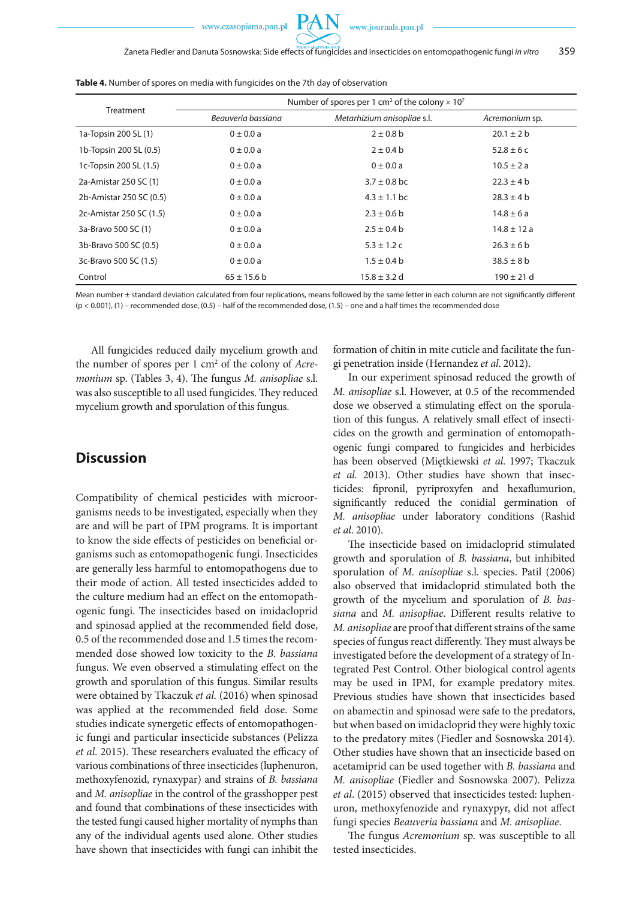www.journals.pan.pl

| Treatment               | Number of spores per 1 cm <sup>2</sup> of the colony $\times$ 10 <sup>7</sup> |                             |                 |  |
|-------------------------|-------------------------------------------------------------------------------|-----------------------------|-----------------|--|
|                         | Beauveria bassiana                                                            | Metarhizium anisopliae s.l. | Acremonium sp.  |  |
| 1a-Topsin 200 SL (1)    | $0 \pm 0.0 a$                                                                 | $2 \pm 0.8$ b               | $20.1 \pm 2 b$  |  |
| 1b-Topsin 200 SL (0.5)  | $0 \pm 0.0 a$                                                                 | $2 \pm 0.4$ b               | $52.8 \pm 6c$   |  |
| 1c-Topsin 200 SL (1.5)  | $0 \pm 0.0 a$                                                                 | $0 \pm 0.0 a$               | $10.5 \pm 2 a$  |  |
| 2a-Amistar 250 SC (1)   | $0 \pm 0.0 a$                                                                 | $3.7 \pm 0.8$ bc            | $22.3 \pm 4 h$  |  |
| 2b-Amistar 250 SC (0.5) | $0 \pm 0.0 a$                                                                 | $4.3 \pm 1.1$ bc            | $28.3 \pm 4 h$  |  |
| 2c-Amistar 250 SC (1.5) | $0 \pm 0.0 a$                                                                 | $2.3 \pm 0.6$ b             | $14.8 \pm 6a$   |  |
| 3a-Bravo 500 SC (1)     | $0 \pm 0.0 a$                                                                 | $2.5 \pm 0.4$ b             | $14.8 \pm 12 a$ |  |
| 3b-Bravo 500 SC (0.5)   | $0 \pm 0.0 a$                                                                 | $5.3 \pm 1.2$ C             | $26.3 \pm 6 b$  |  |
| 3c-Bravo 500 SC (1.5)   | $0 \pm 0.0 a$                                                                 | $1.5 \pm 0.4$ b             | $38.5 \pm 8$ b  |  |
| Control                 | $65 \pm 15.6$ b                                                               | $15.8 \pm 3.2$ d            | $190 \pm 21$ d  |  |

**Table 4.** Number of spores on media with fungicides on the 7th day of observation

Mean number ± standard deviation calculated from four replications, means followed by the same letter in each column are not significantly different  $(p < 0.001)$ , (1) – recommended dose, (0.5) – half of the recommended dose, (1.5) – one and a half times the recommended dose

All fungicides reduced daily mycelium growth and the number of spores per 1 cm2 of the colony of *Acremonium* sp. (Tables 3, 4). The fungus *M. anisopliae* s.l. was also susceptible to all used fungicides. They reduced mycelium growth and sporulation of this fungus.

## **Discussion**

Compatibility of chemical pesticides with microorganisms needs to be investigated, especially when they are and will be part of IPM programs. It is important to know the side effects of pesticides on beneficial organisms such as entomopathogenic fungi. Insecticides are generally less harmful to entomopathogens due to their mode of action. All tested insecticides added to the culture medium had an effect on the entomopathogenic fungi. The insecticides based on imidacloprid and spinosad applied at the recommended field dose, 0.5 of the recommended dose and 1.5 times the recommended dose showed low toxicity to the *B. bassiana* fungus. We even observed a stimulating effect on the growth and sporulation of this fungus. Similar results were obtained by Tkaczuk *et al.* (2016) when spinosad was applied at the recommended field dose. Some studies indicate synergetic effects of entomopathogenic fungi and particular insecticide substances (Pelizza *et al*. 2015). These researchers evaluated the efficacy of various combinations of three insecticides (luphenuron, methoxyfenozid, rynaxypar) and strains of *B. bassiana* and *M. anisopliae* in the control of the grasshopper pest and found that combinations of these insecticides with the tested fungi caused higher mortality of nymphs than any of the individual agents used alone. Other studies have shown that insecticides with fungi can inhibit the formation of chitin in mite cuticle and facilitate the fungi penetration inside (Hernandez *et al*. 2012).

In our experiment spinosad reduced the growth of *M. anisopliae* s.l. However, at 0.5 of the recommended dose we observed a stimulating effect on the sporulation of this fungus. A relatively small effect of insecticides on the growth and germination of entomopathogenic fungi compared to fungicides and herbicides has been observed (Miętkiewski *et al*. 1997; Tkaczuk *et al.* 2013). Other studies have shown that insecticides: fipronil, pyriproxyfen and hexaflumurion, significantly reduced the conidial germination of *M. anisopliae* under laboratory conditions (Rashid *et al*. 2010).

The insecticide based on imidacloprid stimulated growth and sporulation of *B. bassiana*, but inhibited sporulation of *M. anisopliae* s.l. species. Patil (2006) also observed that imidacloprid stimulated both the growth of the mycelium and sporulation of *B. bassiana* and *M. anisopliae*. Different results relative to *M. anisopliae* are proof that different strains of the same species of fungus react differently. They must always be investigated before the development of a strategy of Integrated Pest Control. Other biological control agents may be used in IPM, for example predatory mites. Previous studies have shown that insecticides based on abamectin and spinosad were safe to the predators, but when based on imidacloprid they were highly toxic to the predatory mites (Fiedler and Sosnowska 2014). Other studies have shown that an insecticide based on acetamiprid can be used together with *B. bassiana* and *M. anisopliae* (Fiedler and Sosnowska 2007). Pelizza *et al*. (2015) observed that insecticides tested: luphenuron, methoxyfenozide and rynaxypyr, did not affect fungi species *Beauveria bassiana* and *M. anisopliae*.

The fungus *Acremonium* sp. was susceptible to all tested insecticides.